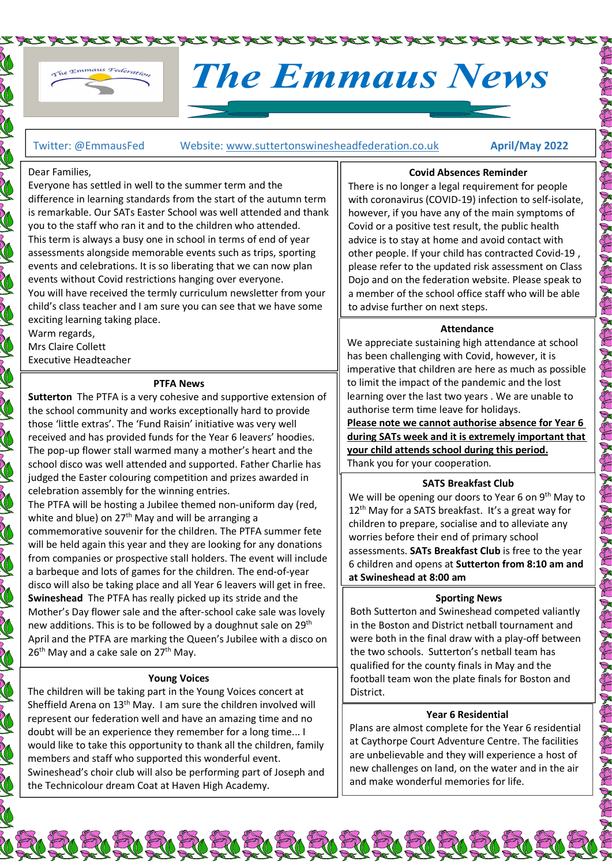

# The Emmaus News

Twitter: @EmmausFed Website: www.suttertonswinesheadfederation.co.uk April/May 2022

VRIK RIK RIK RIK RIK RIK RIK RIK RIK RIK

#### Dear Families,

SO NO

SAN CONTROL

**Contract Contract Contract** 

J

CON CONTRACTOR

THE STRIKE STRIKE

NOTES CONTROL

CONSTRUCTION

N RO

J<br>M

Everyone has settled in well to the summer term and the difference in learning standards from the start of the autumn term is remarkable. Our SATs Easter School was well attended and thank you to the staff who ran it and to the children who attended. This term is always a busy one in school in terms of end of year assessments alongside memorable events such as trips, sporting events and celebrations. It is so liberating that we can now plan events without Covid restrictions hanging over everyone. You will have received the termly curriculum newsletter from your child's class teacher and I am sure you can see that we have some exciting learning taking place. Warm regards,

Mrs Claire Collett Executive Headteacher

#### PTFA News

Sutterton The PTFA is a very cohesive and supportive extension of the school community and works exceptionally hard to provide those 'little extras'. The 'Fund Raisin' initiative was very well received and has provided funds for the Year 6 leavers' hoodies. The pop-up flower stall warmed many a mother's heart and the school disco was well attended and supported. Father Charlie has judged the Easter colouring competition and prizes awarded in celebration assembly for the winning entries.

The PTFA will be hosting a Jubilee themed non-uniform day (red, white and blue) on  $27<sup>th</sup>$  May and will be arranging a commemorative souvenir for the children. The PTFA summer fete will be held again this year and they are looking for any donations from companies or prospective stall holders. The event will include a barbeque and lots of games for the children. The end-of-year disco will also be taking place and all Year 6 leavers will get in free. Swineshead The PTFA has really picked up its stride and the Mother's Day flower sale and the after-school cake sale was lovely new additions. This is to be followed by a doughnut sale on  $29<sup>th</sup>$ April and the PTFA are marking the Queen's Jubilee with a disco on 26<sup>th</sup> May and a cake sale on 27<sup>th</sup> May.

# Young Voices

The children will be taking part in the Young Voices concert at Sheffield Arena on 13th May. I am sure the children involved will represent our federation well and have an amazing time and no doubt will be an experience they remember for a long time... I would like to take this opportunity to thank all the children, family members and staff who supported this wonderful event. Swineshead's choir club will also be performing part of Joseph and the Technicolour dream Coat at Haven High Academy.

Could Morenotes Reminider<br>
Covid Absences Reminder<br>
Covid Absences Reminder<br>
Inger a legal requirement for people<br>
Invisor any of the main symptoms of<br>
Sitive test result, the public health<br>
Sitive test result, the public There is no longer a legal requirement for people with coronavirus (COVID-19) infection to self-isolate, however, if you have any of the main symptoms of Covid or a positive test result, the public health advice is to stay at home and avoid contact with other people. If your child has contracted Covid-19 , please refer to the updated risk assessment on Class Dojo and on the federation website. Please speak to a member of the school office staff who will be able to advise further on next steps.

#### **Attendance**

We appreciate sustaining high attendance at school has been challenging with Covid, however, it is imperative that children are here as much as possible to limit the impact of the pandemic and the lost learning over the last two years . We are unable to authorise term time leave for holidays.

your child attends school during this period. during SATs week and it is extremely important that  $\parallel \check{\mathbb{Z}}$ Please note we cannot authorise absence for Year 6 Thank you for your cooperation.

# SATS Breakfast Club

worries before their end of primary school We will be opening our doors to Year 6 on  $9<sup>th</sup>$  May to 12<sup>th</sup> May for a SATS breakfast. It's a great way for children to prepare, socialise and to alleviate any assessments. SATs Breakfast Club is free to the year 6 children and opens at Sutterton from 8:10 am and at Swineshead at 8:00 am

# Sporting News

Both Sutterton and Swineshead competed valiantly in the Boston and District netball tournament and were both in the final draw with a play-off between the two schools. Sutterton's netball team has qualified for the county finals in May and the football team won the plate finals for Boston and District.

# Year 6 Residential

Plans are almost complete for the Year 6 residential at Caythorpe Court Adventure Centre. The facilities are unbelievable and they will experience a host of new challenges on land, on the water and in the air and make wonderful memories for life.